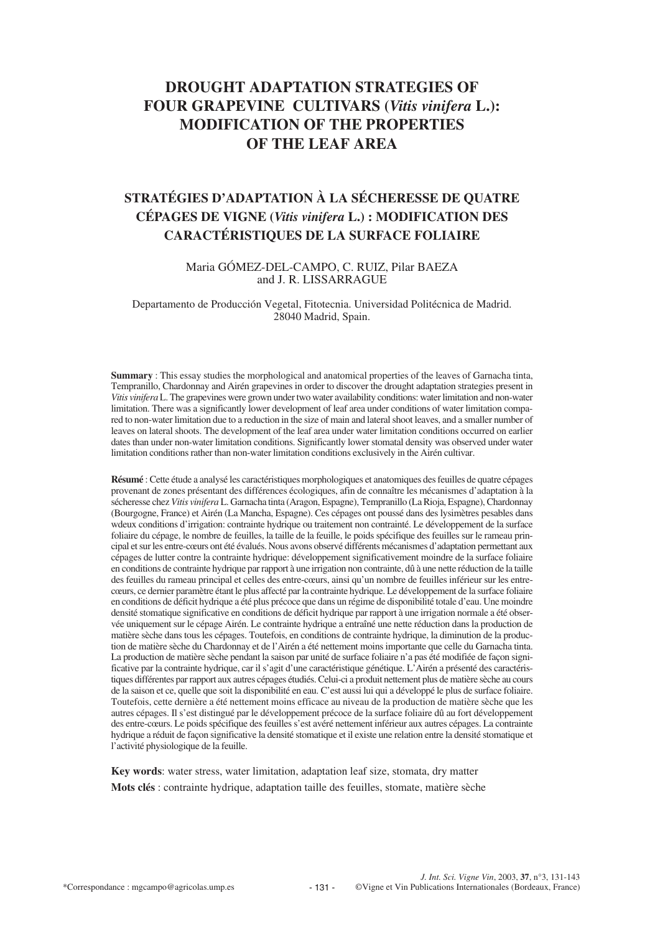# **DROUGHT ADAPTATION STRATEGIES OF FOUR GRAPEVINE CULTIVARS (***Vitis vinifera* **L.): MODIFICATION OF THE PROPERTIES OF THE LEAF AREA**

# **STRATÉGIES D'ADAPTATION À LA SÉCHERESSE DE QUATRE CÉPAGES DE VIGNE (***Vitis vinifera* **L.) : MODIFICATION DES CARACTÉRISTIQUES DE LA SURFACE FOLIAIRE**

Maria GÓMEZ-DEL-CAMPO, C. RUIZ, Pilar BAEZA and J. R. LISSARRAGUE

Departamento de Producción Vegetal, Fitotecnia. Universidad Politécnica de Madrid. 28040 Madrid, Spain.

**Summary** : This essay studies the morphological and anatomical properties of the leaves of Garnacha tinta, Tempranillo, Chardonnay and Airén grapevines in order to discover the drought adaptation strategies present in *Vitis vinifera* L. The grapevines were grown under two water availability conditions: water limitation and non-water limitation. There was a significantly lower development of leaf area under conditions of water limitation compared to non-water limitation due to a reduction in the size of main and lateral shoot leaves, and a smaller number of leaves on lateral shoots. The development of the leaf area under water limitation conditions occurred on earlier dates than under non-water limitation conditions. Significantly lower stomatal density was observed under water limitation conditions rather than non-water limitation conditions exclusively in the Airén cultivar.

**Résumé** : Cette étude a analysé les caractéristiques morphologiques et anatomiques des feuilles de quatre cépages provenant de zones présentant des différences écologiques, afin de connaître les mécanismes d'adaptation à la sécheresse chez *Vitis vinifera* L. Garnacha tinta (Aragon, Espagne), Tempranillo (La Rioja, Espagne), Chardonnay (Bourgogne, France) et Airén (La Mancha, Espagne). Ces cépages ont poussé dans des lysimètres pesables dans wdeux conditions d'irrigation: contrainte hydrique ou traitement non contrainté. Le développement de la surface foliaire du cépage, le nombre de feuilles, la taille de la feuille, le poids spécifique des feuilles sur le rameau principal et sur les entre-cœurs ont été évalués. Nous avons observé différents mécanismes d'adaptation permettant aux cépages de lutter contre la contrainte hydrique: développement significativement moindre de la surface foliaire en conditions de contrainte hydrique par rapport à une irrigation non contrainte, dû à une nette réduction de la taille des feuilles du rameau principal et celles des entre-cœurs, ainsi qu'un nombre de feuilles inférieur sur les entrecœurs, ce dernier paramètre étant le plus affecté par la contrainte hydrique. Le développement de la surface foliaire en conditions de déficit hydrique a été plus précoce que dans un régime de disponibilité totale d'eau. Une moindre densité stomatique significative en conditions de déficit hydrique par rapport à une irrigation normale a été observée uniquement sur le cépage Airén. Le contrainte hydrique a entraîné une nette réduction dans la production de matière sèche dans tous les cépages. Toutefois, en conditions de contrainte hydrique, la diminution de la production de matière sèche du Chardonnay et de l'Airén a été nettement moins importante que celle du Garnacha tinta. La production de matière sèche pendant la saison par unité de surface foliaire n'a pas été modifiée de façon significative par la contrainte hydrique, car il s'agit d'une caractéristique génétique. L'Airén a présenté des caractéristiques différentes par rapport aux autres cépages étudiés. Celui-ci a produit nettement plus de matière sèche au cours de la saison et ce, quelle que soit la disponibilité en eau. C'est aussi lui qui a développé le plus de surface foliaire. Toutefois, cette dernière a été nettement moins efficace au niveau de la production de matière sèche que les autres cépages. Il s'est distingué par le développement précoce de la surface foliaire dû au fort développement des entre-cœurs. Le poids spécifique des feuilles s'est avéré nettement inférieur aux autres cépages. La contrainte hydrique a réduit de façon significative la densité stomatique et il existe une relation entre la densité stomatique et l'activité physiologique de la feuille.

**Key words**: water stress, water limitation, adaptation leaf size, stomata, dry matter **Mots clés** : contrainte hydrique, adaptation taille des feuilles, stomate, matière sèche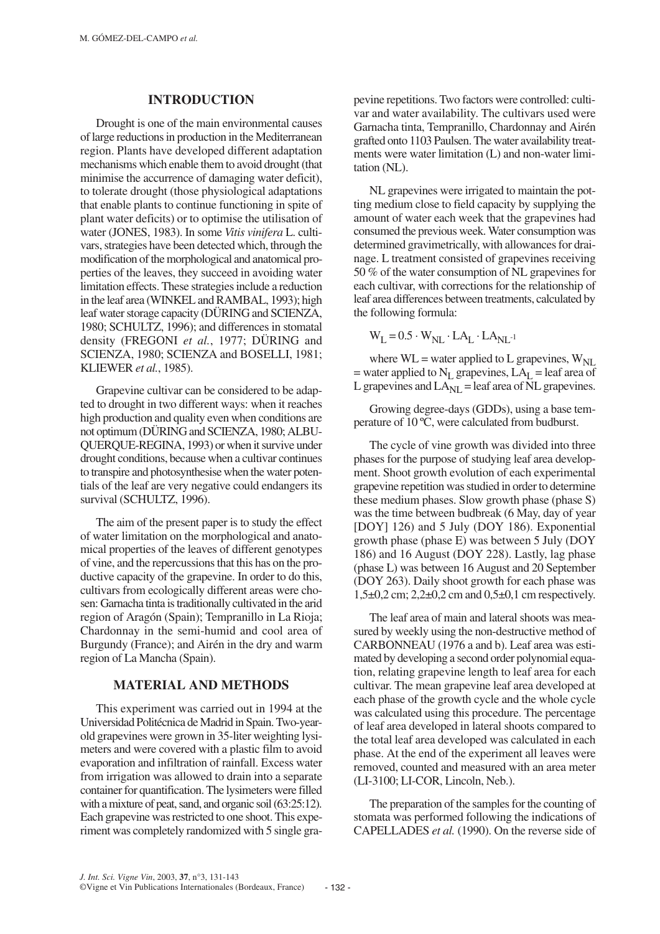### **INTRODUCTION**

Drought is one of the main environmental causes of large reductions in production in the Mediterranean region. Plants have developed different adaptation mechanisms which enable them to avoid drought (that minimise the accurrence of damaging water deficit), to tolerate drought (those physiological adaptations that enable plants to continue functioning in spite of plant water deficits) or to optimise the utilisation of water (JONES, 1983). In some *Vitis vinifera* L. cultivars, strategies have been detected which, through the modification of the morphological and anatomical properties of the leaves, they succeed in avoiding water limitation effects. These strategies include a reduction in the leaf area (WINKEL and RAMBAL, 1993); high leaf water storage capacity (DÜRING and SCIENZA, 1980; SCHULTZ, 1996); and differences in stomatal density (FREGONI *et al.*, 1977; DÜRING and SCIENZA, 1980; SCIENZA and BOSELLI, 1981; KLIEWER *et al.*, 1985).

Grapevine cultivar can be considered to be adapted to drought in two different ways: when it reaches high production and quality even when conditions are not optimum (DÜRING and SCIENZA, 1980; ALBU-QUERQUE-REGINA, 1993) or when it survive under drought conditions, because when a cultivar continues to transpire and photosynthesise when the water potentials of the leaf are very negative could endangers its survival (SCHULTZ, 1996).

The aim of the present paper is to study the effect of water limitation on the morphological and anatomical properties of the leaves of different genotypes of vine, and the repercussions that this has on the productive capacity of the grapevine. In order to do this, cultivars from ecologically different areas were chosen: Garnacha tinta is traditionally cultivated in the arid region of Aragón (Spain); Tempranillo in La Rioja; Chardonnay in the semi-humid and cool area of Burgundy (France); and Airén in the dry and warm region of La Mancha (Spain).

## **MATERIAL AND METHODS**

This experiment was carried out in 1994 at the Universidad Politécnica de Madrid in Spain. Two-yearold grapevines were grown in 35-liter weighting lysimeters and were covered with a plastic film to avoid evaporation and infiltration of rainfall. Excess water from irrigation was allowed to drain into a separate container for quantification. The lysimeters were filled with a mixture of peat, sand, and organic soil (63:25:12). Each grapevine was restricted to one shoot. This experiment was completely randomized with 5 single gra-

pevine repetitions. Two factors were controlled: cultivar and water availability. The cultivars used were Garnacha tinta, Tempranillo, Chardonnay and Airén grafted onto 1103 Paulsen. The water availability treatments were water limitation (L) and non-water limitation (NL).

NL grapevines were irrigated to maintain the potting medium close to field capacity by supplying the amount of water each week that the grapevines had consumed the previous week. Water consumption was determined gravimetrically, with allowances for drainage. L treatment consisted of grapevines receiving 50 % of the water consumption of NL grapevines for each cultivar, with corrections for the relationship of leaf area differences between treatments, calculated by the following formula:

 $W_L = 0.5 \cdot W_{NL} \cdot LA_L \cdot LA_{NL^{-1}}$ 

where  $WL = water$  applied to L grapevines,  $W_{NI}$ = water applied to  $N_L$  grapevines,  $LA_L$  = leaf area of L grapevines and  $LA_{NI}$  = leaf area of NL grapevines.

Growing degree-days (GDDs), using a base temperature of 10 ºC, were calculated from budburst.

The cycle of vine growth was divided into three phases for the purpose of studying leaf area development. Shoot growth evolution of each experimental grapevine repetition was studied in order to determine these medium phases. Slow growth phase (phase S) was the time between budbreak (6 May, day of year [DOY] 126) and 5 July (DOY 186). Exponential growth phase (phase E) was between 5 July (DOY 186) and 16 August (DOY 228). Lastly, lag phase (phase L) was between 16 August and 20 September (DOY 263). Daily shoot growth for each phase was 1,5±0,2 cm; 2,2±0,2 cm and 0,5±0,1 cm respectively.

The leaf area of main and lateral shoots was measured by weekly using the non-destructive method of CARBONNEAU (1976 a and b). Leaf area was estimated by developing a second order polynomial equation, relating grapevine length to leaf area for each cultivar. The mean grapevine leaf area developed at each phase of the growth cycle and the whole cycle was calculated using this procedure. The percentage of leaf area developed in lateral shoots compared to the total leaf area developed was calculated in each phase. At the end of the experiment all leaves were removed, counted and measured with an area meter (LI-3100; LI-COR, Lincoln, Neb.).

The preparation of the samples for the counting of stomata was performed following the indications of CAPELLADES *et al.* (1990). On the reverse side of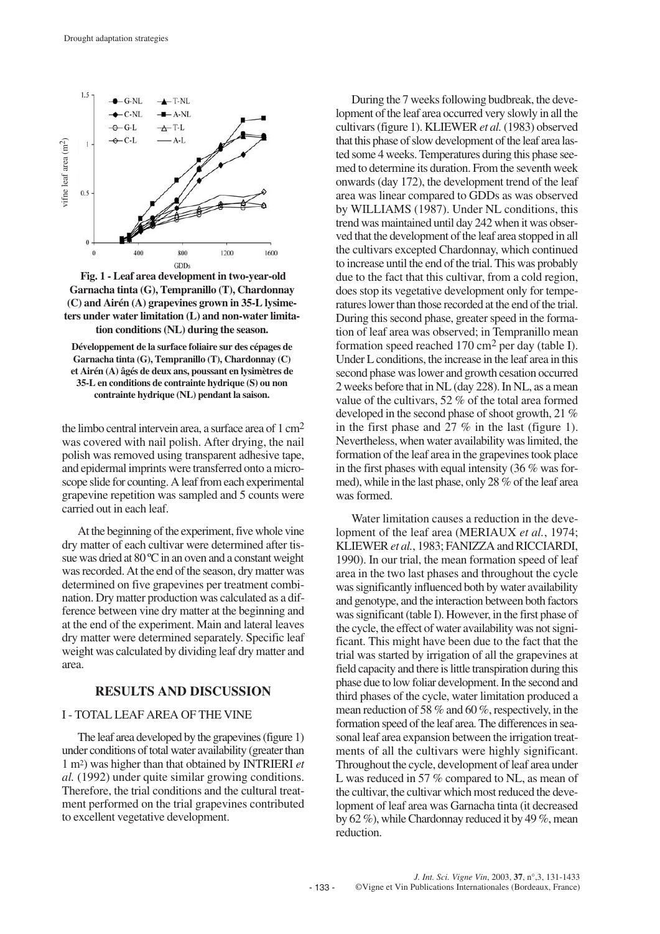

**Fig. 1 - Leaf area development in two-year-old Garnacha tinta (G), Tempranillo (T), Chardonnay (C) and Airén (A) grapevines grown in 35-L lysimeters under water limitation (L) and non-water limitation conditions (NL) during the season.**

**Développement de la surface foliaire sur des cépages de Garnacha tinta (G), Tempranillo (T), Chardonnay (C) et Airén (A) âgés de deux ans, poussant en lysimètres de 35-L en conditions de contrainte hydrique (S) ou non contrainte hydrique (NL) pendant la saison.**

the limbo central intervein area, a surface area of  $1 \text{ cm}^2$ was covered with nail polish. After drying, the nail polish was removed using transparent adhesive tape, and epidermal imprints were transferred onto a microscope slide for counting. A leaf from each experimental grapevine repetition was sampled and 5 counts were carried out in each leaf.

At the beginning of the experiment, five whole vine dry matter of each cultivar were determined after tissue was dried at 80 °C in an oven and a constant weight was recorded. At the end of the season, dry matter was determined on five grapevines per treatment combination. Dry matter production was calculated as a difference between vine dry matter at the beginning and at the end of the experiment. Main and lateral leaves dry matter were determined separately. Specific leaf weight was calculated by dividing leaf dry matter and area.

# **RESULTS AND DISCUSSION**

#### I - TOTAL LEAF AREA OF THE VINE

The leaf area developed by the grapevines (figure 1) under conditions of total water availability (greater than 1 m2) was higher than that obtained by INTRIERI *et al.* (1992) under quite similar growing conditions. Therefore, the trial conditions and the cultural treatment performed on the trial grapevines contributed to excellent vegetative development.

During the 7 weeks following budbreak, the development of the leaf area occurred very slowly in all the cultivars (figure 1). KLIEWER *et al.*(1983) observed that this phase of slow development of the leaf area lasted some 4 weeks. Temperatures during this phase seemed to determine its duration. From the seventh week onwards (day 172), the development trend of the leaf area was linear compared to GDDs as was observed by WILLIAMS (1987). Under NL conditions, this trend was maintained until day 242 when it was observed that the development of the leaf area stopped in all the cultivars excepted Chardonnay, which continued to increase until the end of the trial. This was probably due to the fact that this cultivar, from a cold region, does stop its vegetative development only for temperatures lower than those recorded at the end of the trial. During this second phase, greater speed in the formation of leaf area was observed; in Tempranillo mean formation speed reached  $170 \text{ cm}^2$  per day (table I). Under L conditions, the increase in the leaf area in this second phase was lower and growth cesation occurred 2 weeks before that in NL (day 228). In NL, as a mean value of the cultivars, 52 % of the total area formed developed in the second phase of shoot growth, 21 % in the first phase and 27 % in the last (figure 1). Nevertheless, when water availability was limited, the formation of the leaf area in the grapevines took place in the first phases with equal intensity (36 % was formed), while in the last phase, only 28 % of the leaf area was formed.

Water limitation causes a reduction in the development of the leaf area (MERIAUX *et al.*, 1974; KLIEWER *et al.*, 1983; FANIZZA and RICCIARDI, 1990). In our trial, the mean formation speed of leaf area in the two last phases and throughout the cycle was significantly influenced both by water availability and genotype, and the interaction between both factors was significant (table I). However, in the first phase of the cycle, the effect of water availability was not significant. This might have been due to the fact that the trial was started by irrigation of all the grapevines at field capacity and there is little transpiration during this phase due to low foliar development. In the second and third phases of the cycle, water limitation produced a mean reduction of 58 % and 60 %, respectively, in the formation speed of the leaf area. The differences in seasonal leaf area expansion between the irrigation treatments of all the cultivars were highly significant. Throughout the cycle, development of leaf area under L was reduced in 57 % compared to NL, as mean of the cultivar, the cultivar which most reduced the development of leaf area was Garnacha tinta (it decreased by 62 %), while Chardonnay reduced it by 49 %, mean reduction.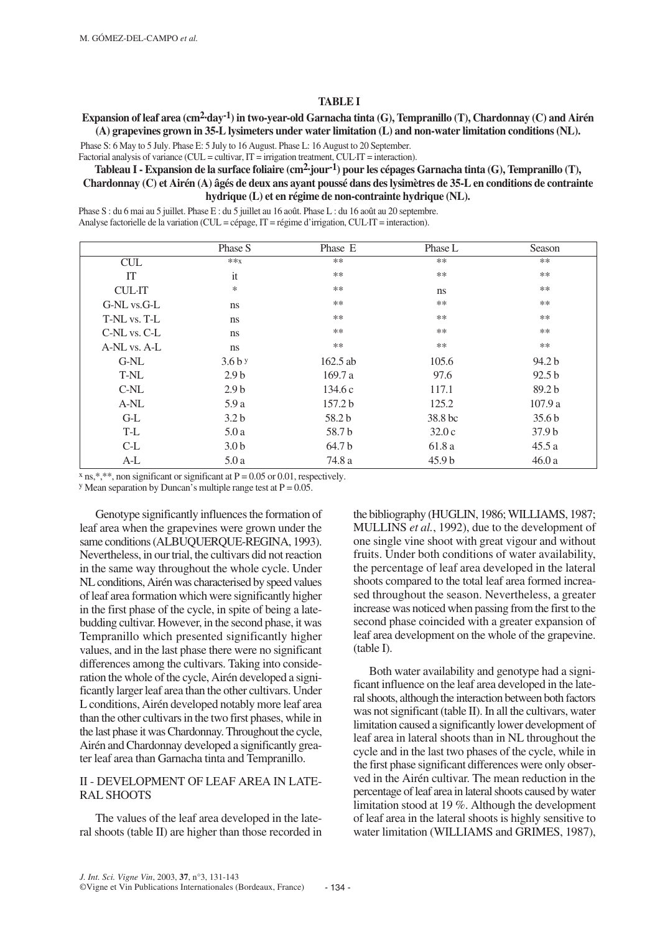#### **TABLE I**

# **Expansion of leaf area (cm2·day-1) in two-year-old Garnacha tinta (G), Tempranillo (T), Chardonnay (C) and Airén (A) grapevines grown in 35-L lysimeters under water limitation (L) and non-water limitation conditions (NL).**

Phase S: 6 May to 5 July. Phase E: 5 July to 16 August. Phase L: 16 August to 20 September.

Factorial analysis of variance (CUL = cultivar, IT = irrigation treatment, CUL·IT = interaction).

# **Tableau I - Expansion de la surface foliaire (cm2·jour-1) pour les cépages Garnacha tinta (G), Tempranillo (T), Chardonnay (C) et Airén (A) âgés de deux ans ayant poussé dans des lysimètres de 35-L en conditions de contrainte hydrique (L) et en régime de non-contrainte hydrique (NL).**

Phase S : du 6 mai au 5 juillet. Phase E : du 5 juillet au 16 août. Phase L : du 16 août au 20 septembre. Analyse factorielle de la variation (CUL = cépage, IT = régime d'irrigation, CUL·IT = interaction).

|                             | Phase S          | Phase E    | Phase L           | Season            |
|-----------------------------|------------------|------------|-------------------|-------------------|
| $\ensuremath{\mathrm{CUL}}$ | $**x$            | $***$      | $***$             | **                |
| IT                          | it               | $***$      | $***$             | $**$              |
| <b>CUL·IT</b>               | $\ast$           | $***$      | <sub>ns</sub>     | $**$              |
| G-NL vs.G-L                 | <sub>ns</sub>    | $***$      | $***$             | $**$              |
| T-NL vs. T-L                | ns               | $***$      | $***$             | $**$              |
| C-NL vs. C-L                | ns               | $***$      | $***$             | $**$              |
| A-NL vs. A-L                | ns               | $***$      | **                | **                |
| G-NL                        | $3.6b$ y         | $162.5$ ab | 105.6             | 94.2 b            |
| T-NL                        | 2.9 <sub>b</sub> | 169.7a     | 97.6              | 92.5 <sub>b</sub> |
| C-NL                        | 2.9 <sub>b</sub> | 134.6c     | 117.1             | 89.2 <sub>b</sub> |
| A-NL                        | 5.9a             | 157.2 b    | 125.2             | 107.9a            |
| $G-L$                       | 3.2 <sub>b</sub> | 58.2 b     | 38.8 bc           | 35.6 <sub>b</sub> |
| T-L                         | 5.0a             | 58.7b      | 32.0c             | 37.9 <sub>b</sub> |
| $C-L$                       | 3.0 <sub>b</sub> | 64.7 b     | 61.8 a            | 45.5a             |
| $A-L$                       | 5.0a             | 74.8 a     | 45.9 <sub>b</sub> | 46.0a             |

 $x$  ns,\*,\*\*, non significant or significant at P = 0.05 or 0.01, respectively.

 $y$  Mean separation by Duncan's multiple range test at  $P = 0.05$ .

Genotype significantly influences the formation of leaf area when the grapevines were grown under the same conditions (ALBUQUERQUE-REGINA, 1993). Nevertheless, in our trial, the cultivars did not reaction in the same way throughout the whole cycle. Under NL conditions, Airén was characterised by speed values of leaf area formation which were significantly higher in the first phase of the cycle, in spite of being a latebudding cultivar. However, in the second phase, it was Tempranillo which presented significantly higher values, and in the last phase there were no significant differences among the cultivars. Taking into consideration the whole of the cycle, Airén developed a significantly larger leaf area than the other cultivars. Under L conditions, Airén developed notably more leaf area than the other cultivars in the two first phases, while in the last phase it was Chardonnay. Throughout the cycle, Airén and Chardonnay developed a significantly greater leaf area than Garnacha tinta and Tempranillo.

# II - DEVELOPMENT OF LEAF AREA IN LATE-RAL SHOOTS

The values of the leaf area developed in the lateral shoots (table II) are higher than those recorded in the bibliography (HUGLIN, 1986; WILLIAMS, 1987; MULLINS *et al.*, 1992), due to the development of one single vine shoot with great vigour and without fruits. Under both conditions of water availability, the percentage of leaf area developed in the lateral shoots compared to the total leaf area formed increased throughout the season. Nevertheless, a greater increase was noticed when passing from the first to the second phase coincided with a greater expansion of leaf area development on the whole of the grapevine. (table I).

Both water availability and genotype had a significant influence on the leaf area developed in the lateral shoots, although the interaction between both factors was not significant (table II). In all the cultivars, water limitation caused a significantly lower development of leaf area in lateral shoots than in NL throughout the cycle and in the last two phases of the cycle, while in the first phase significant differences were only observed in the Airén cultivar. The mean reduction in the percentage of leaf area in lateral shoots caused by water limitation stood at 19 %. Although the development of leaf area in the lateral shoots is highly sensitive to water limitation (WILLIAMS and GRIMES, 1987),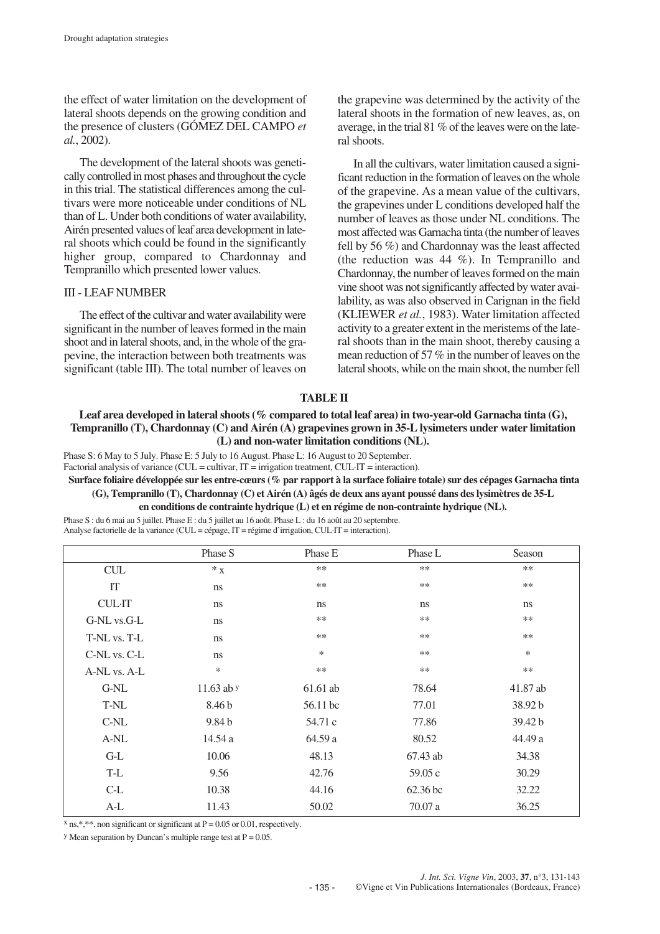the effect of water limitation on the development of lateral shoots depends on the growing condition and the presence of clusters (GÓMEZ DEL CAMPO *et al.*, 2002).

The development of the lateral shoots was genetically controlled in most phases and throughout the cycle in this trial. The statistical differences among the cultivars were more noticeable under conditions of NL than of L. Under both conditions of water availability, Airén presented values of leaf area development in lateral shoots which could be found in the significantly higher group, compared to Chardonnay and Tempranillo which presented lower values.

#### III - LEAF NUMBER

The effect of the cultivar and water availability were significant in the number of leaves formed in the main shoot and in lateral shoots, and, in the whole of the grapevine, the interaction between both treatments was significant (table III). The total number of leaves on

the grapevine was determined by the activity of the lateral shoots in the formation of new leaves, as, on average, in the trial 81 % of the leaves were on the lateral shoots.

In all the cultivars, water limitation caused a significant reduction in the formation of leaves on the whole of the grapevine. As a mean value of the cultivars, the grapevines under L conditions developed half the number of leaves as those under NL conditions. The most affected was Garnacha tinta (the number of leaves fell by 56 %) and Chardonnay was the least affected (the reduction was 44 %). In Tempranillo and Chardonnay, the number of leaves formed on the main vine shoot was not significantly affected by water availability, as was also observed in Carignan in the field (KLIEWER *et al.*, 1983). Water limitation affected activity to a greater extent in the meristems of the lateral shoots than in the main shoot, thereby causing a mean reduction of 57 % in the number of leaves on the lateral shoots, while on the main shoot, the number fell

## **TABLE II**

## **Leaf area developed in lateral shoots (% compared to total leaf area) in two-year-old Garnacha tinta (G), Tempranillo (T), Chardonnay (C) and Airén (A) grapevines grown in 35-L lysimeters under water limitation (L) and non-water limitation conditions (NL).**

Phase S: 6 May to 5 July. Phase E: 5 July to 16 August. Phase L: 16 August to 20 September.

Factorial analysis of variance (CUL = cultivar, IT = irrigation treatment, CUL·IT = interaction).

**Surface foliaire développée sur les entre-cœurs (% par rapport à la surface foliaire totale) sur des cépages Garnacha tinta (G), Tempranillo (T), Chardonnay (C) et Airén (A) âgés de deux ans ayant poussé dans des lysimètres de 35-L**

**en conditions de contrainte hydrique (L) et en régime de non-contrainte hydrique (NL).**

Phase S : du 6 mai au 5 juillet. Phase E : du 5 juillet au 16 août. Phase L : du 16 août au 20 septembre. Analyse factorielle de la variance (CUL = cépage, IT = régime d'irrigation, CUL·IT = interaction).

|               | Phase S           | Phase E    | Phase L  | Season   |
|---------------|-------------------|------------|----------|----------|
| <b>CUL</b>    | $*_{X}$           | $**$       | $***$    | $***$    |
| IT            | ns                | $**$       | $***$    | $***$    |
| <b>CUL·IT</b> | ns                | ns         | ns       | ns       |
| G-NL vs.G-L   | ns                | $**$       | $***$    | $***$    |
| T-NL vs. T-L  | ns                | $**$       | $***$    | $***$    |
| C-NL vs. C-L  | ns                | *          | $***$    | $\ast$   |
| A-NL vs. A-L  | $\ast$            | $**$       | $***$    | $***$    |
| G-NL          | 11.63 ab y        | $61.61$ ab | 78.64    | 41.87 ab |
| T-NL          | 8.46 b            | 56.11 bc   | 77.01    | 38.92 b  |
| $C-NL$        | 9.84 <sub>b</sub> | 54.71 c    | 77.86    | 39.42 b  |
| A-NL          | 14.54 a           | 64.59 a    | 80.52    | 44.49 a  |
| $G-L$         | 10.06             | 48.13      | 67.43 ab | 34.38    |
| T-L           | 9.56              | 42.76      | 59.05c   | 30.29    |
| $C-L$         | 10.38             | 44.16      | 62.36 bc | 32.22    |
| $A-L$         | 11.43             | 50.02      | 70.07 a  | 36.25    |

 $x$  ns,\*,\*\*, non significant or significant at P = 0.05 or 0.01, respectively.

<sup>y</sup> Mean separation by Duncan's multiple range test at  $P = 0.05$ .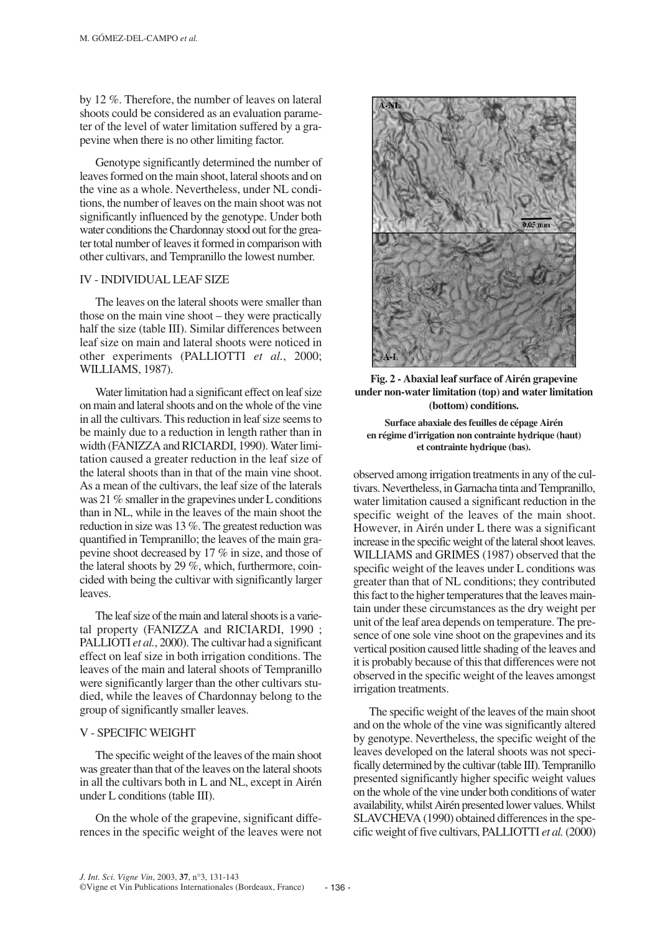by 12 %. Therefore, the number of leaves on lateral shoots could be considered as an evaluation parameter of the level of water limitation suffered by a grapevine when there is no other limiting factor.

Genotype significantly determined the number of leaves formed on the main shoot, lateral shoots and on the vine as a whole. Nevertheless, under NL conditions, the number of leaves on the main shoot was not significantly influenced by the genotype. Under both water conditions the Chardonnay stood out for the greater total number of leaves it formed in comparison with other cultivars, and Tempranillo the lowest number.

#### IV - INDIVIDUAL LEAF SIZE

The leaves on the lateral shoots were smaller than those on the main vine shoot – they were practically half the size (table III). Similar differences between leaf size on main and lateral shoots were noticed in other experiments (PALLIOTTI *et al.*, 2000; WILLIAMS, 1987).

Water limitation had a significant effect on leaf size on main and lateral shoots and on the whole of the vine in all the cultivars. This reduction in leaf size seems to be mainly due to a reduction in length rather than in width (FANIZZA and RICIARDI, 1990). Water limitation caused a greater reduction in the leaf size of the lateral shoots than in that of the main vine shoot. As a mean of the cultivars, the leaf size of the laterals was 21 % smaller in the grapevines under L conditions than in NL, while in the leaves of the main shoot the reduction in size was 13 %. The greatest reduction was quantified in Tempranillo; the leaves of the main grapevine shoot decreased by 17 % in size, and those of the lateral shoots by 29 %, which, furthermore, coincided with being the cultivar with significantly larger leaves.

The leaf size of the main and lateral shoots is a varietal property (FANIZZA and RICIARDI, 1990 ; PALLIOTI *et al.*, 2000). The cultivar had a significant effect on leaf size in both irrigation conditions. The leaves of the main and lateral shoots of Tempranillo were significantly larger than the other cultivars studied, while the leaves of Chardonnay belong to the group of significantly smaller leaves.

### V - SPECIFIC WEIGHT

The specific weight of the leaves of the main shoot was greater than that of the leaves on the lateral shoots in all the cultivars both in L and NL, except in Airén under L conditions (table III).

On the whole of the grapevine, significant differences in the specific weight of the leaves were not



**Fig. 2 - Abaxial leaf surface of Airén grapevine under non-water limitation (top) and water limitation (bottom) conditions.**

**Surface abaxiale des feuilles de cépage Airén en régime d'irrigation non contrainte hydrique (haut) et contrainte hydrique (bas).**

observed among irrigation treatments in any of the cultivars. Nevertheless, in Garnacha tinta and Tempranillo, water limitation caused a significant reduction in the specific weight of the leaves of the main shoot. However, in Airén under L there was a significant increase in the specific weight of the lateral shoot leaves. WILLIAMS and GRIMES (1987) observed that the specific weight of the leaves under L conditions was greater than that of NL conditions; they contributed this fact to the higher temperatures that the leaves maintain under these circumstances as the dry weight per unit of the leaf area depends on temperature. The presence of one sole vine shoot on the grapevines and its vertical position caused little shading of the leaves and it is probably because of this that differences were not observed in the specific weight of the leaves amongst irrigation treatments.

The specific weight of the leaves of the main shoot and on the whole of the vine was significantly altered by genotype. Nevertheless, the specific weight of the leaves developed on the lateral shoots was not specifically determined by the cultivar (table III). Tempranillo presented significantly higher specific weight values on the whole of the vine under both conditions of water availability, whilst Airén presented lower values. Whilst SLAVCHEVA (1990) obtained differences in the specific weight of five cultivars, PALLIOTTI *et al.*(2000)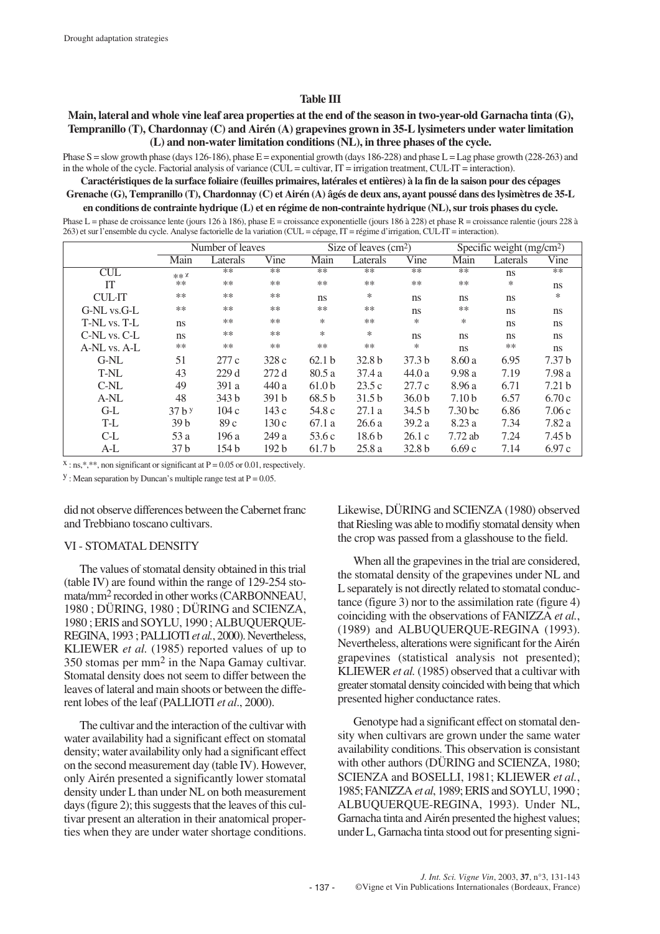#### **Table III**

## **Main, lateral and whole vine leaf area properties at the end of the season in two-year-old Garnacha tinta (G), Tempranillo (T), Chardonnay (C) and Airén (A) grapevines grown in 35-L lysimeters under water limitation (L) and non-water limitation conditions (NL), in three phases of the cycle.**

Phase S = slow growth phase (days 126-186), phase E = exponential growth (days 186-228) and phase L = Lag phase growth (228-263) and in the whole of the cycle. Factorial analysis of variance (CUL = cultivar, IT = irrigation treatment, CUL·IT = interaction).

**Caractéristiques de la surface foliaire (feuilles primaires, latérales et entières) à la fin de la saison pour des cépages Grenache (G), Tempranillo (T), Chardonnay (C) et Airén (A) âgés de deux ans, ayant poussé dans des lysimètres de 35-L en conditions de contrainte hydrique (L) et en régime de non-contrainte hydrique (NL), sur trois phases du cycle.**

Phase L = phase de croissance lente (jours 126 à 186), phase E = croissance exponentielle (jours 186 à 228) et phase R = croissance ralentie (jours 228 à 263) et sur l'ensemble du cycle. Analyse factorielle de la variation (CUL = cépage, IT = régime d'irrigation, CUL·IT = interaction).

|               | Number of leaves |                  |                  | Size of leaves $(cm2)$ |                   |                   | Specific weight (mg/cm <sup>2</sup> ) |          |                   |
|---------------|------------------|------------------|------------------|------------------------|-------------------|-------------------|---------------------------------------|----------|-------------------|
|               | Main             | Laterals         | Vine             | Main                   | Laterals          | Vine              | Main                                  | Laterals | Vine              |
| CUL           | ** X             | $**$             | $**$             | $**$                   | $**$              | $**$              | $**$                                  | ns       | $**$              |
| IT            | $***$            | $***$            | $***$            | $***$                  | $***$             | $***$             | $***$                                 | *        | <sub>ns</sub>     |
| <b>CUL·IT</b> | $***$            | **               | $***$            | ns.                    | $\ast$            | ns                | ns                                    | ns       | *                 |
| G-NL vs.G-L   | **               | **               | $***$            | $***$                  | $***$             | ns                | $***$                                 | ns       | ns                |
| T-NL vs. T-L  | <sub>ns</sub>    | $***$            | $***$            | *                      | $***$             | *                 | $\ast$                                | ns       | ns                |
| C-NL vs. C-L  | <sub>ns</sub>    | $***$            | $***$            | *                      | $\ast$            | ns                | ns                                    | ns       | <sub>ns</sub>     |
| A-NL vs. A-L  | **               | $***$            | $***$            | $***$                  | $***$             | *                 | ns                                    | **       | ns                |
| $G-NL$        | 51               | 277c             | 328c             | 62.1 <sub>b</sub>      | 32.8 <sub>b</sub> | 37.3 <sub>b</sub> | 8.60a                                 | 6.95     | 7.37 <sub>b</sub> |
| T-NL          | 43               | 229d             | 272d             | 80.5a                  | 37.4a             | 44.0a             | 9.98a                                 | 7.19     | 7.98 a            |
| C-NL          | 49               | 391 a            | 440 a            | 61.0 <sub>b</sub>      | 23.5c             | 27.7c             | 8.96 a                                | 6.71     | 7.21 <sub>b</sub> |
| A-NL          | 48               | 343 <sub>b</sub> | 391 <sub>b</sub> | 68.5 <sub>b</sub>      | 31.5 <sub>b</sub> | 36.0 <sub>b</sub> | 7.10 <sub>b</sub>                     | 6.57     | 6.70c             |
| $G-L$         | $37h$ y          | 104c             | 143 c            | 54.8 c                 | 27.1a             | 34.5 <sub>b</sub> | 7.30 <sub>bc</sub>                    | 6.86     | 7.06c             |
| T-L           | 39 <sub>b</sub>  | 89c              | 130c             | 67.1 a                 | 26.6a             | 39.2a             | 8.23 a                                | 7.34     | 7.82 a            |
| $C-L$         | 53 a             | 196 a            | 249 a            | 53.6c                  | 18.6 <sub>b</sub> | 26.1c             | 7.72 ab                               | 7.24     | 7.45 b            |
| A-L           | 37 b             | 154 <sub>b</sub> | 192 <sub>b</sub> | 61.7 <sub>b</sub>      | 25.8a             | 32.8 <sub>b</sub> | 6.69c                                 | 7.14     | 6.97c             |

 $x : \text{ns},$ ,  $\ast$ , non significant or significant at P = 0.05 or 0.01, respectively.

 $y$ : Mean separation by Duncan's multiple range test at  $P = 0.05$ .

did not observe differences between the Cabernet franc and Trebbiano toscano cultivars.

## VI - STOMATAL DENSITY

The values of stomatal density obtained in this trial (table IV) are found within the range of 129-254 stomata/mm2 recorded in other works (CARBONNEAU, 1980 ; DÜRING, 1980 ; DÜRING and SCIENZA, 1980 ; ERIS and SOYLU, 1990 ; ALBUQUERQUE-REGINA, 1993 ; PALLIOTI *et al.*, 2000). Nevertheless, KLIEWER *et al.* (1985) reported values of up to 350 stomas per mm2 in the Napa Gamay cultivar. Stomatal density does not seem to differ between the leaves of lateral and main shoots or between the different lobes of the leaf (PALLIOTI *et al*., 2000).

The cultivar and the interaction of the cultivar with water availability had a significant effect on stomatal density; water availability only had a significant effect on the second measurement day (table IV). However, only Airén presented a significantly lower stomatal density under L than under NL on both measurement days (figure 2); this suggests that the leaves of this cultivar present an alteration in their anatomical properties when they are under water shortage conditions.

Likewise, DÜRING and SCIENZA (1980) observed that Riesling was able to modifiy stomatal density when the crop was passed from a glasshouse to the field.

When all the grapevines in the trial are considered, the stomatal density of the grapevines under NL and L separately is not directly related to stomatal conductance (figure 3) nor to the assimilation rate (figure 4) coinciding with the observations of FANIZZA *et al.*, (1989) and ALBUQUERQUE-REGINA (1993). Nevertheless, alterations were significant for the Airén grapevines (statistical analysis not presented); KLIEWER *et al.* (1985) observed that a cultivar with greater stomatal density coincided with being that which presented higher conductance rates.

Genotype had a significant effect on stomatal density when cultivars are grown under the same water availability conditions. This observation is consistant with other authors (DÜRING and SCIENZA, 1980; SCIENZA and BOSELLI, 1981; KLIEWER *et al.*, 1985; FANIZZA *et al*, 1989; ERIS and SOYLU, 1990 ; ALBUQUERQUE-REGINA, 1993). Under NL, Garnacha tinta and Airén presented the highest values; under L, Garnacha tinta stood out for presenting signi-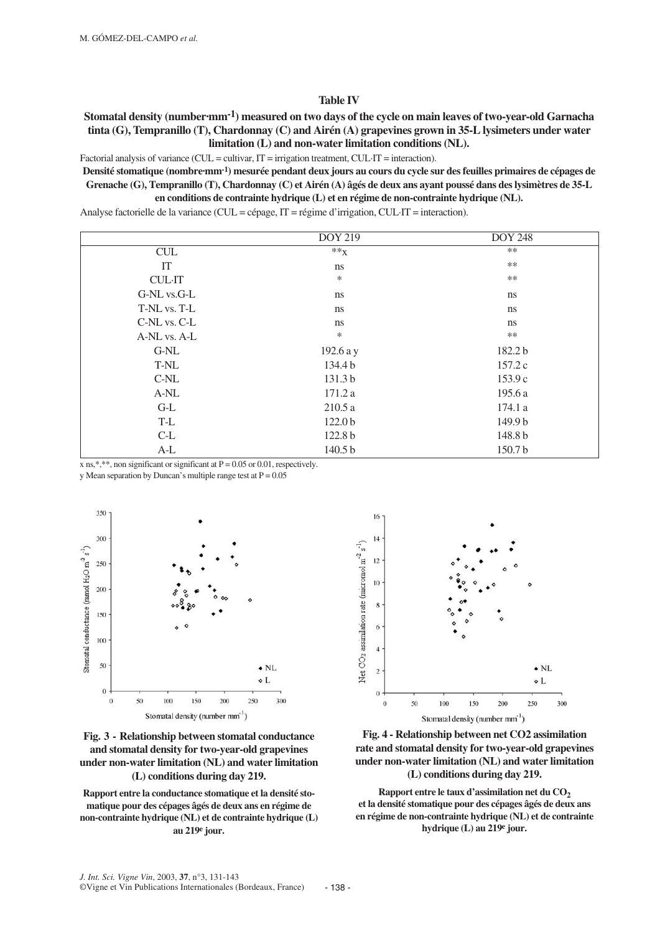#### **Table IV**

## **Stomatal density (number-mm<sup>-1</sup>) measured on two days of the cycle on main leaves of two-year-old Garnacha tinta (G), Tempranillo (T), Chardonnay (C) and Airén (A) grapevines grown in 35-L lysimeters under water limitation (L) and non-water limitation conditions (NL).**

Factorial analysis of variance (CUL = cultivar, IT = irrigation treatment, CUL·IT = interaction).

**Densité stomatique (nombre·mm-1) mesurée pendant deux jours au cours du cycle sur des feuilles primaires de cépages de Grenache (G), Tempranillo (T), Chardonnay (C) et Airén (A) âgés de deux ans ayant poussé dans des lysimètres de 35-L en conditions de contrainte hydrique (L) et en régime de non-contrainte hydrique (NL).** 

Analyse factorielle de la variance (CUL = cépage, IT = régime d'irrigation, CUL·IT = interaction).

|               | <b>DOY 219</b>     | <b>DOY 248</b> |
|---------------|--------------------|----------------|
| CUL           | $**X$              | **             |
| IT            | ns                 | **             |
| <b>CUL·IT</b> | $\ast$             | **             |
| G-NL vs.G-L   | ns                 | ns             |
| T-NL vs. T-L  | ns                 | ns             |
| C-NL vs. C-L  | ns                 | ns             |
| A-NL vs. A-L  | $\ast$             | **             |
| G-NL          | 192.6 a y          | 182.2 b        |
| T-NL          | 134.4 b            | 157.2c         |
| $C-NL$        | 131.3 b            | 153.9c         |
| $A-NL$        | 171.2a             | 195.6 a        |
| $G-L$         | 210.5a             | 174.1 a        |
| T-L           | 122.0 <sub>b</sub> | 149.9 b        |
| $C-L$         | 122.8 b            | 148.8 b        |
| $A-L$         | 140.5 b            | 150.7b         |

x ns,\*,\*\*, non significant or significant at  $P = 0.05$  or 0.01, respectively.

y Mean separation by Duncan's multiple range test at  $P = 0.05$ 





**Rapport entre la conductance stomatique et la densité stomatique pour des cépages âgés de deux ans en régime de non-contrainte hydrique (NL) et de contrainte hydrique (L) au 219e jour.**



**Fig. 4 - Relationship between net CO2 assimilation rate and stomatal density for two-year-old grapevines under non-water limitation (NL) and water limitation (L) conditions during day 219.**

Rapport entre le taux d'assimilation net du CO<sub>2</sub> **et la densité stomatique pour des cépages âgés de deux ans en régime de non-contrainte hydrique (NL) et de contrainte hydrique (L) au 219e jour.**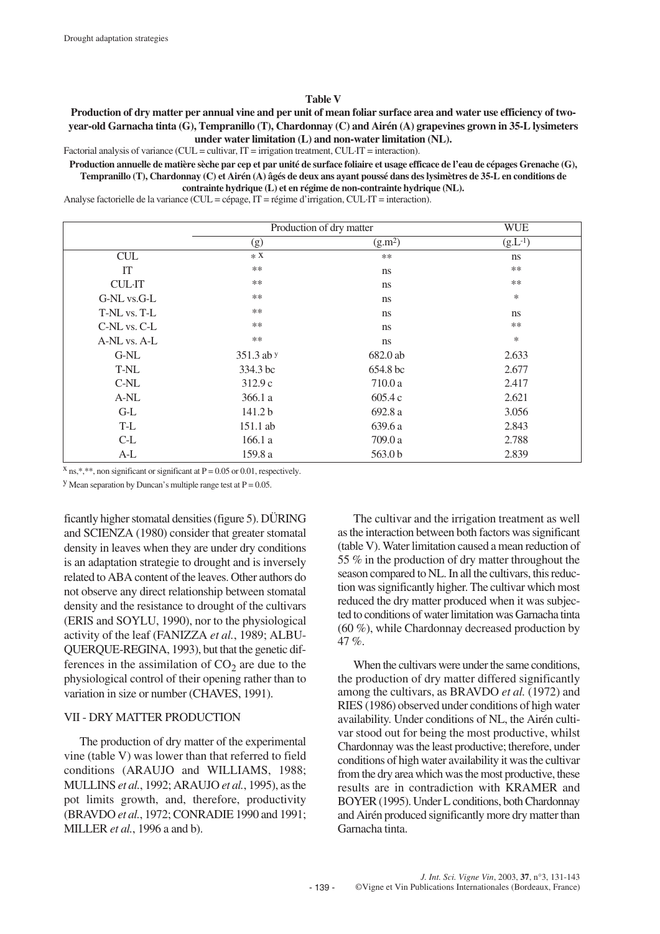#### **Table V**

**Production of dry matter per annual vine and per unit of mean foliar surface area and water use efficiency of twoyear-old Garnacha tinta (G), Tempranillo (T), Chardonnay (C) and Airén (A) grapevines grown in 35-L lysimeters under water limitation (L) and non-water limitation (NL).** 

Factorial analysis of variance (CUL = cultivar, IT = irrigation treatment, CUL·IT = interaction).

**Production annuelle de matière sèche par cep et par unité de surface foliaire et usage efficace de l'eau de cépages Grenache (G), Tempranillo (T), Chardonnay (C) et Airén (A) âgés de deux ans ayant poussé dans des lysimètres de 35-L en conditions de contrainte hydrique (L) et en régime de non-contrainte hydrique (NL).** 

Analyse factorielle de la variance (CUL = cépage, IT = régime d'irrigation, CUL·IT = interaction).

|               | Production of dry matter | <b>WUE</b>          |              |
|---------------|--------------------------|---------------------|--------------|
|               | (g)                      | (g.m <sup>2</sup> ) | $(g.L^{-1})$ |
| <b>CUL</b>    | $*X$                     | $**$                | ns           |
| IT            | **                       | ns                  | $***$        |
| <b>CUL·IT</b> | $**$                     | ns                  | $***$        |
| G-NL vs.G-L   | **                       | ns                  | $\ast$       |
| T-NL vs. T-L  | $**$                     | ns                  | ns           |
| C-NL vs. C-L  | $***$                    | ns                  | $***$        |
| A-NL vs. A-L  | **                       | ns                  | $\ast$       |
| G-NL          | 351.3 ab y               | 682.0 ab            | 2.633        |
| T-NL          | 334.3 bc                 | 654.8 bc            | 2.677        |
| $C-NL$        | 312.9c                   | 710.0 a             | 2.417        |
| A-NL          | 366.1 a                  | 605.4 c             | 2.621        |
| $G-L$         | 141.2 b                  | 692.8 a             | 3.056        |
| T-L           | 151.1 ab                 | 639.6 a             | 2.843        |
| $C-L$         | 166.1 a                  | 709.0 a             | 2.788        |
| $A-L$         | 159.8 a                  | 563.0 <sub>b</sub>  | 2.839        |

 $x$  ns,\*,\*\*, non significant or significant at P = 0.05 or 0.01, respectively.

<sup>y</sup> Mean separation by Duncan's multiple range test at  $P = 0.05$ .

ficantly higher stomatal densities (figure 5). DÜRING and SCIENZA (1980) consider that greater stomatal density in leaves when they are under dry conditions is an adaptation strategie to drought and is inversely related to ABA content of the leaves. Other authors do not observe any direct relationship between stomatal density and the resistance to drought of the cultivars (ERIS and SOYLU, 1990), nor to the physiological activity of the leaf (FANIZZA *et al.*, 1989; ALBU-QUERQUE-REGINA, 1993), but that the genetic differences in the assimilation of  $CO<sub>2</sub>$  are due to the physiological control of their opening rather than to variation in size or number (CHAVES, 1991).

#### VII - DRY MATTER PRODUCTION

The production of dry matter of the experimental vine (table V) was lower than that referred to field conditions (ARAUJO and WILLIAMS, 1988; MULLINS *et al.*, 1992; ARAUJO *et al.*, 1995), as the pot limits growth, and, therefore, productivity (BRAVDO *et al.*, 1972; CONRADIE 1990 and 1991; MILLER *et al.*, 1996 a and b).

The cultivar and the irrigation treatment as well as the interaction between both factors was significant (table V). Water limitation caused a mean reduction of 55 % in the production of dry matter throughout the season compared to NL. In all the cultivars, this reduction was significantly higher. The cultivar which most reduced the dry matter produced when it was subjected to conditions of water limitation was Garnacha tinta (60 %), while Chardonnay decreased production by 47 %.

When the cultivars were under the same conditions, the production of dry matter differed significantly among the cultivars, as BRAVDO *et al.* (1972) and RIES (1986) observed under conditions of high water availability. Under conditions of NL, the Airén cultivar stood out for being the most productive, whilst Chardonnay was the least productive; therefore, under conditions of high water availability it was the cultivar from the dry area which was the most productive, these results are in contradiction with KRAMER and BOYER (1995). Under L conditions, both Chardonnay and Airén produced significantly more dry matter than Garnacha tinta.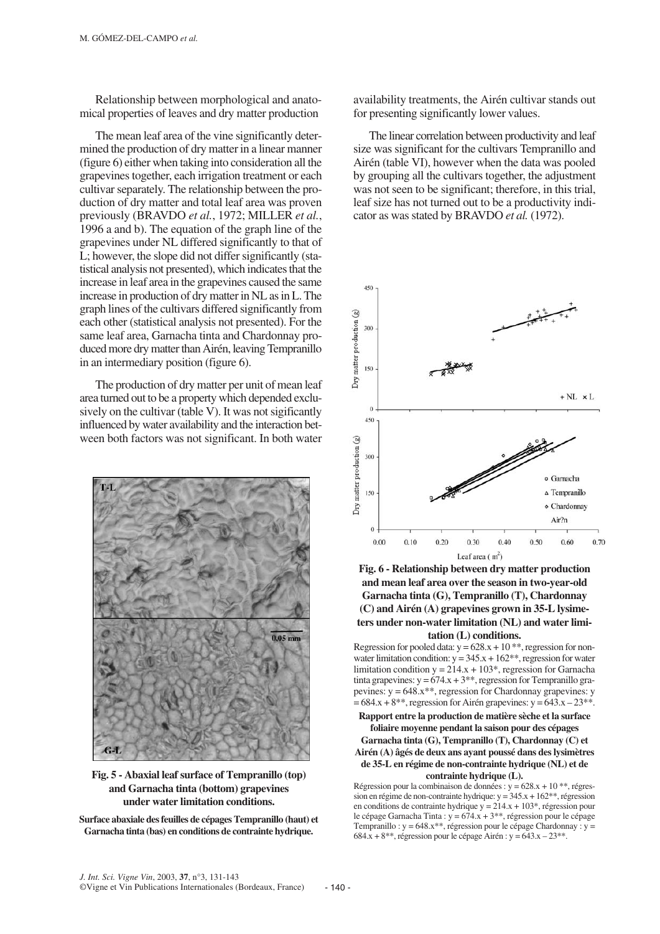Relationship between morphological and anatomical properties of leaves and dry matter production

The mean leaf area of the vine significantly determined the production of dry matter in a linear manner (figure 6) either when taking into consideration all the grapevines together, each irrigation treatment or each cultivar separately. The relationship between the production of dry matter and total leaf area was proven previously (BRAVDO *et al.*, 1972; MILLER *et al.*, 1996 a and b). The equation of the graph line of the grapevines under NL differed significantly to that of L; however, the slope did not differ significantly (statistical analysis not presented), which indicates that the increase in leaf area in the grapevines caused the same increase in production of dry matter in NL as in L. The graph lines of the cultivars differed significantly from each other (statistical analysis not presented). For the same leaf area, Garnacha tinta and Chardonnay produced more dry matter than Airén, leaving Tempranillo in an intermediary position (figure 6).

The production of dry matter per unit of mean leaf area turned out to be a property which depended exclusively on the cultivar (table V). It was not sigificantly influenced by water availability and the interaction between both factors was not significant. In both water



**Fig. 5 - Abaxial leaf surface of Tempranillo (top) and Garnacha tinta (bottom) grapevines under water limitation conditions.**

**Surface abaxiale des feuilles de cépages Tempranillo (haut) et Garnacha tinta (bas) en conditions de contrainte hydrique.**

availability treatments, the Airén cultivar stands out for presenting significantly lower values.

The linear correlation between productivity and leaf size was significant for the cultivars Tempranillo and Airén (table VI), however when the data was pooled by grouping all the cultivars together, the adjustment was not seen to be significant; therefore, in this trial, leaf size has not turned out to be a productivity indicator as was stated by BRAVDO *et al.* (1972).



**Fig. 6 - Relationship between dry matter production and mean leaf area over the season in two-year-old Garnacha tinta (G), Tempranillo (T), Chardonnay (C) and Airén (A) grapevines grown in 35-L lysimeters under non-water limitation (NL) and water limitation (L) conditions.** 

Regression for pooled data:  $y = 628.x + 10**$ , regression for nonwater limitation condition:  $y = 345.x + 162**$ , regression for water limitation condition  $y = 214.x + 103^*$ , regression for Garnacha tinta grapevines:  $y = 674.x + 3**$ , regression for Tempranillo grapevines:  $y = 648.x**$ , regression for Chardonnay grapevines: y  $= 684.x + 8**$ , regression for Airén grapevines: y =  $643.x - 23**$ .

**Rapport entre la production de matière sèche et la surface foliaire moyenne pendant la saison pour des cépages Garnacha tinta (G), Tempranillo (T), Chardonnay (C) et Airén (A) âgés de deux ans ayant poussé dans des lysimètres de 35-L en régime de non-contrainte hydrique (NL) et de contrainte hydrique (L).**

Régression pour la combinaison de données : y = 628.x + 10 \*\*, régression en régime de non-contrainte hydrique:  $y = 345.x + 162**$ , régression en conditions de contrainte hydrique  $y = 214.x + 103^*$ , régression pour le cépage Garnacha Tinta :  $y = 674$ . $x + 3$ <sup>\*\*</sup>, régression pour le cépage Tempranillo :  $y = 648.x^{**}$ , régression pour le cépage Chardonnay :  $y =$ 684.x + 8<sup>\*\*</sup>, régression pour le cépage Airén : y =  $643.x - 23**$ .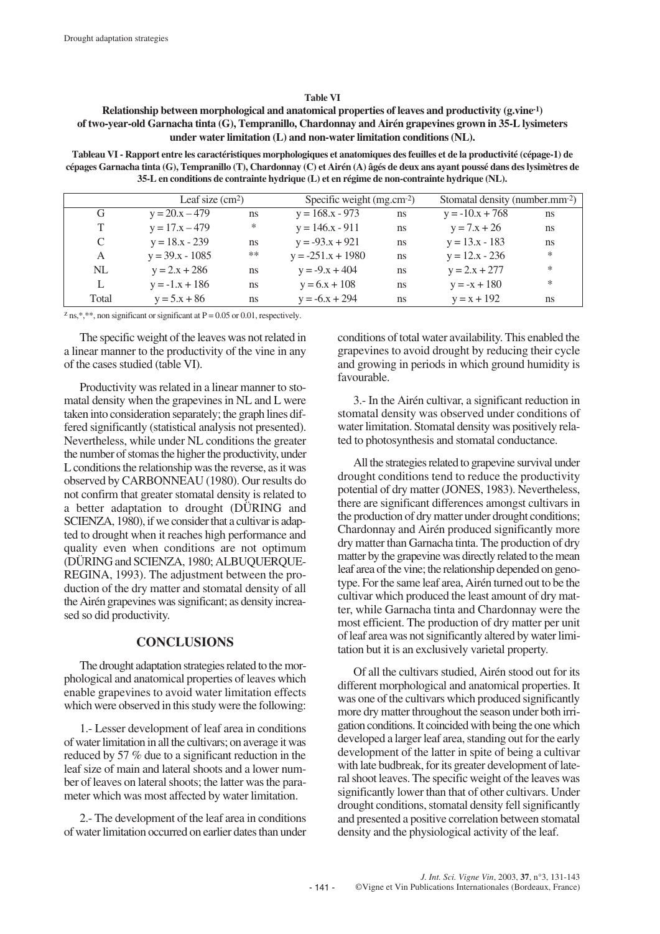#### **Table VI**

## **Relationship between morphological and anatomical properties of leaves and productivity (g.vine-1) of two-year-old Garnacha tinta (G), Tempranillo, Chardonnay and Airén grapevines grown in 35-L lysimeters under water limitation (L) and non-water limitation conditions (NL).**

**Tableau VI - Rapport entre les caractéristiques morphologiques et anatomiques des feuilles et de la productivité (cépage-1) de cépages Garnacha tinta (G), Tempranillo (T), Chardonnay (C) et Airén (A) âgés de deux ans ayant poussé dans des lysimètres de 35-L en conditions de contrainte hydrique (L) et en régime de non-contrainte hydrique (NL).**

|       |                      | Leaf size $(cm2)$ |                        | Specific weight $(mg.cm-2)$ |                         | Stomatal density (number.mm-2) |  |
|-------|----------------------|-------------------|------------------------|-----------------------------|-------------------------|--------------------------------|--|
| G     | $y = 20.x - 479$     | <sub>ns</sub>     | $y = 168.x - 973$      | ns                          | $y = -10 \cdot x + 768$ | ns                             |  |
|       | $y = 17.x - 479$     | ∗                 | $y = 146.x - 911$      | <sub>ns</sub>               | $y = 7x + 26$           | ns                             |  |
|       | $y = 18.x - 239$     | <sub>ns</sub>     | $y = -93.x + 921$      | ns                          | $y = 13.x - 183$        | ns                             |  |
| A     | $y = 39.x - 1085$    | $***$             | $y = -251.x + 1980$    | <sub>ns</sub>               | $y = 12.x - 236$        | $\ast$                         |  |
| NL    | $y = 2.x + 286$      | <sub>ns</sub>     | $y = -9 \cdot x + 404$ | ns                          | $y = 2.x + 277$         | $\ast$                         |  |
|       | $y = -1.x + 186$     | <sub>ns</sub>     | $y = 6x + 108$         | ns                          | $y = -x + 180$          | $\ast$                         |  |
| Total | $y = 5 \cdot x + 86$ | <sub>ns</sub>     | $y = -6x + 294$        | ns                          | $y = x + 192$           | ns                             |  |

 $z$  ns,\*,\*\*, non significant or significant at P = 0.05 or 0.01, respectively.

The specific weight of the leaves was not related in a linear manner to the productivity of the vine in any of the cases studied (table VI).

Productivity was related in a linear manner to stomatal density when the grapevines in NL and L were taken into consideration separately; the graph lines differed significantly (statistical analysis not presented). Nevertheless, while under NL conditions the greater the number of stomas the higher the productivity, under L conditions the relationship was the reverse, as it was observed by CARBONNEAU (1980). Our results do not confirm that greater stomatal density is related to a better adaptation to drought (DÜRING and SCIENZA, 1980), if we consider that a cultivar is adapted to drought when it reaches high performance and quality even when conditions are not optimum (DÜRING and SCIENZA, 1980; ALBUQUERQUE-REGINA, 1993). The adjustment between the production of the dry matter and stomatal density of all the Airén grapevines was significant; as density increased so did productivity.

## **CONCLUSIONS**

The drought adaptation strategies related to the morphological and anatomical properties of leaves which enable grapevines to avoid water limitation effects which were observed in this study were the following:

1.- Lesser development of leaf area in conditions of water limitation in all the cultivars; on average it was reduced by 57 % due to a significant reduction in the leaf size of main and lateral shoots and a lower number of leaves on lateral shoots; the latter was the parameter which was most affected by water limitation.

2.- The development of the leaf area in conditions of water limitation occurred on earlier dates than under conditions of total water availability. This enabled the grapevines to avoid drought by reducing their cycle and growing in periods in which ground humidity is favourable.

3.- In the Airén cultivar, a significant reduction in stomatal density was observed under conditions of water limitation. Stomatal density was positively related to photosynthesis and stomatal conductance.

All the strategies related to grapevine survival under drought conditions tend to reduce the productivity potential of dry matter (JONES, 1983). Nevertheless, there are significant differences amongst cultivars in the production of dry matter under drought conditions; Chardonnay and Airén produced significantly more dry matter than Garnacha tinta. The production of dry matter by the grapevine was directly related to the mean leaf area of the vine; the relationship depended on genotype. For the same leaf area, Airén turned out to be the cultivar which produced the least amount of dry matter, while Garnacha tinta and Chardonnay were the most efficient. The production of dry matter per unit of leaf area was not significantly altered by water limitation but it is an exclusively varietal property.

Of all the cultivars studied, Airén stood out for its different morphological and anatomical properties. It was one of the cultivars which produced significantly more dry matter throughout the season under both irrigation conditions. It coincided with being the one which developed a larger leaf area, standing out for the early development of the latter in spite of being a cultivar with late budbreak, for its greater development of lateral shoot leaves. The specific weight of the leaves was significantly lower than that of other cultivars. Under drought conditions, stomatal density fell significantly and presented a positive correlation between stomatal density and the physiological activity of the leaf.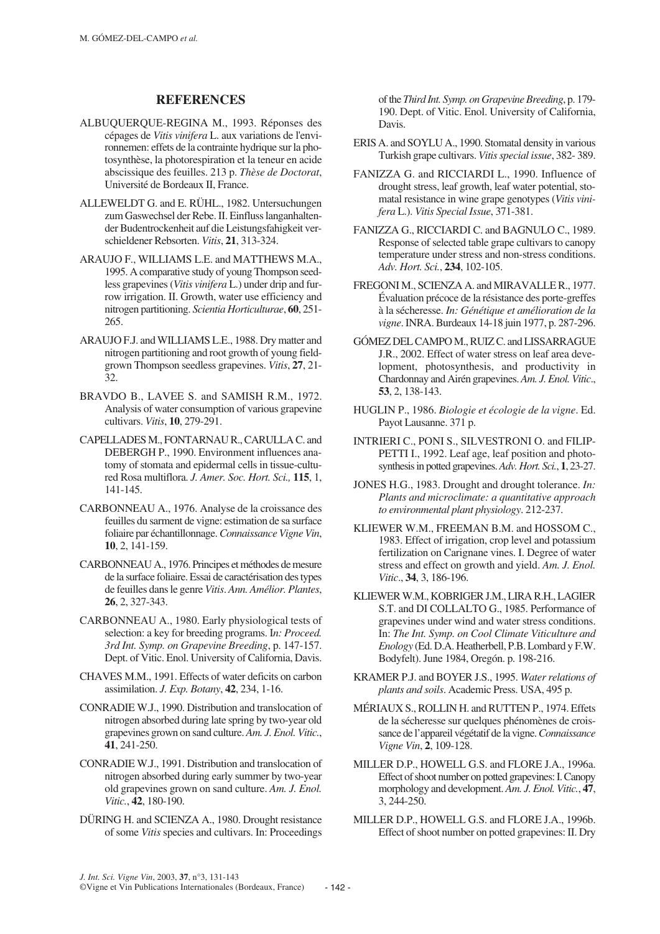### **REFERENCES**

- ALBUQUERQUE-REGINA M., 1993. Réponses des cépages de *Vitis vinifera* L. aux variations de l'environnemen: effets de la contrainte hydrique sur la photosynthèse, la photorespiration et la teneur en acide abscissique des feuilles. 213 p. *Thèse de Doctorat*, Université de Bordeaux II, France.
- ALLEWELDT G. and E. RÜHL., 1982. Untersuchungen zum Gaswechsel der Rebe. II. Einfluss langanhaltender Budentrockenheit auf die Leistungsfahigkeit verschieldener Rebsorten. *Vitis*, **21**, 313-324.
- ARAUJO F., WILLIAMS L.E. and MATTHEWS M.A., 1995. A comparative study of young Thompson seedless grapevines (*Vitis vinifera* L.) under drip and furrow irrigation. II. Growth, water use efficiency and nitrogen partitioning. *Scientia Horticulturae*, **60**, 251- 265.
- ARAUJO F.J. and WILLIAMS L.E., 1988. Dry matter and nitrogen partitioning and root growth of young fieldgrown Thompson seedless grapevines. *Vitis*, **27**, 21- 32.
- BRAVDO B., LAVEE S. and SAMISH R.M., 1972. Analysis of water consumption of various grapevine cultivars. *Vitis*, **10**, 279-291.
- CAPELLADES M., FONTARNAU R., CARULLA C. and DEBERGH P., 1990. Environment influences anatomy of stomata and epidermal cells in tissue-cultured Rosa multiflora. *J. Amer. Soc. Hort. Sci.,* **115**, 1, 141-145.
- CARBONNEAU A., 1976. Analyse de la croissance des feuilles du sarment de vigne: estimation de sa surface foliaire par échantillonnage.*Connaissance Vigne Vin*, **10**, 2, 141-159.
- CARBONNEAU A., 1976. Principes et méthodes de mesure de la surface foliaire. Essai de caractérisation des types de feuilles dans le genre *Vitis*. *Ann. Amélior. Plantes*, **26**, 2, 327-343.
- CARBONNEAU A., 1980. Early physiological tests of selection: a key for breeding programs. I*n: Proceed. 3rd Int. Symp. on Grapevine Breeding*, p. 147-157. Dept. of Vitic. Enol. University of California, Davis.
- CHAVES M.M., 1991. Effects of water deficits on carbon assimilation. *J. Exp. Botany*, **42**, 234, 1-16.
- CONRADIE W.J., 1990. Distribution and translocation of nitrogen absorbed during late spring by two-year old grapevines grown on sand culture. *Am. J. Enol. Vitic.*, **41**, 241-250.
- CONRADIE W.J., 1991. Distribution and translocation of nitrogen absorbed during early summer by two-year old grapevines grown on sand culture. *Am. J. Enol. Vitic.*, **42**, 180-190.
- DÜRING H. and SCIENZA A., 1980. Drought resistance of some *Vitis* species and cultivars. In: Proceedings

of the *Third Int. Symp. on Grapevine Breeding*, p. 179- 190. Dept. of Vitic. Enol. University of California, Davis.

- ERIS A. and SOYLU A., 1990. Stomatal density in various Turkish grape cultivars. *Vitis special issue*, 382- 389.
- FANIZZA G. and RICCIARDI L., 1990. Influence of drought stress, leaf growth, leaf water potential, stomatal resistance in wine grape genotypes (*Vitis vinifera* L.). *Vitis Special Issue*, 371-381.
- FANIZZA G., RICCIARDI C. and BAGNULO C., 1989. Response of selected table grape cultivars to canopy temperature under stress and non-stress conditions. *Adv. Hort. Sci.*, **234**, 102-105.
- FREGONI M., SCIENZA A. and MIRAVALLE R., 1977. Évaluation précoce de la résistance des porte-greffes à la sécheresse. *In: Génétique et amélioration de la vigne*. INRA. Burdeaux 14-18 juin 1977, p. 287-296.
- GÓMEZ DEL CAMPO M., RUIZ C. and LISSARRAGUE J.R., 2002. Effect of water stress on leaf area development, photosynthesis, and productivity in Chardonnay and Airén grapevines. *Am. J. Enol. Vitic*., **53**, 2, 138-143.
- HUGLIN P., 1986. *Biologie et écologie de la vigne*. Ed. Payot Lausanne. 371 p.
- INTRIERI C., PONI S., SILVESTRONI O. and FILIP-PETTI I., 1992. Leaf age, leaf position and photosynthesis in potted grapevines. *Adv. Hort. Sci.*, **1**, 23-27.
- JONES H.G., 1983. Drought and drought tolerance. *In: Plants and microclimate: a quantitative approach to environmental plant physiology*. 212-237.
- KLIEWER W.M., FREEMAN B.M. and HOSSOM C., 1983. Effect of irrigation, crop level and potassium fertilization on Carignane vines. I. Degree of water stress and effect on growth and yield. *Am. J. Enol. Vitic*., **34**, 3, 186-196.
- KLIEWER W.M., KOBRIGER J.M., LIRA R.H., LAGIER S.T. and DI COLLALTO G., 1985. Performance of grapevines under wind and water stress conditions. In: *The Int. Symp. on Cool Climate Viticulture and Enology* (Ed. D.A. Heatherbell, P.B. Lombard y F.W. Bodyfelt). June 1984, Oregón. p. 198-216.
- KRAMER P.J. and BOYER J.S., 1995. *Water relations of plants and soils*. Academic Press. USA, 495 p.
- MÉRIAUX S., ROLLIN H. and RUTTEN P., 1974. Effets de la sécheresse sur quelques phénomènes de croissance de l'appareil végétatif de la vigne. *Connaissance Vigne Vin*, **2**, 109-128.
- MILLER D.P., HOWELL G.S. and FLORE J.A., 1996a. Effect of shoot number on potted grapevines: I. Canopy morphology and development. *Am. J. Enol. Vitic.*, **47**, 3, 244-250.
- MILLER D.P., HOWELL G.S. and FLORE J.A., 1996b. Effect of shoot number on potted grapevines: II. Dry